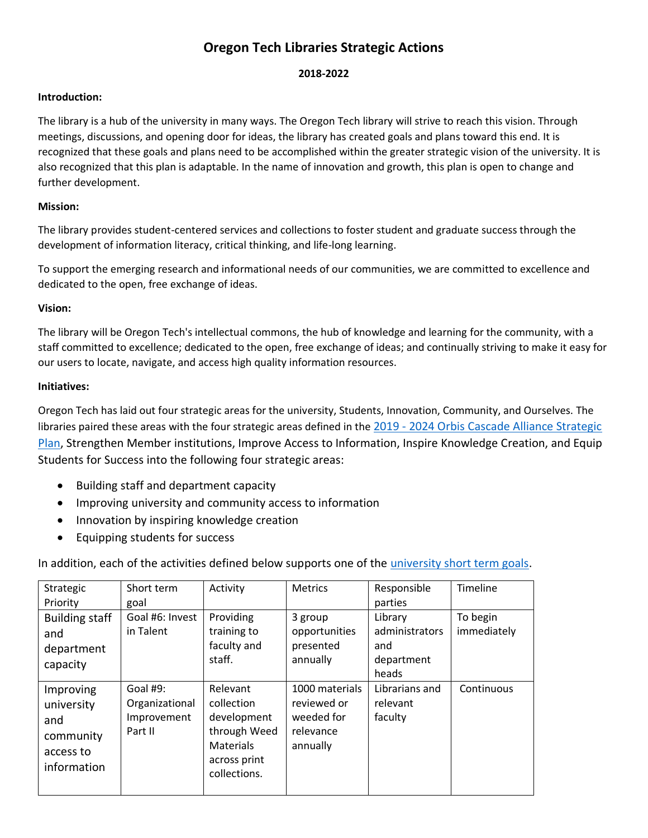# **Oregon Tech Libraries Strategic Actions**

## **2018-2022**

## **Introduction:**

The library is a hub of the university in many ways. The Oregon Tech library will strive to reach this vision. Through meetings, discussions, and opening door for ideas, the library has created goals and plans toward this end. It is recognized that these goals and plans need to be accomplished within the greater strategic vision of the university. It is also recognized that this plan is adaptable. In the name of innovation and growth, this plan is open to change and further development.

## **Mission:**

The library provides student-centered services and collections to foster student and graduate success through the development of information literacy, critical thinking, and life-long learning.

To support the emerging research and informational needs of our communities, we are committed to excellence and dedicated to the open, free exchange of ideas.

## **Vision:**

The library will be Oregon Tech's intellectual commons, the hub of knowledge and learning for the community, with a staff committed to excellence; dedicated to the open, free exchange of ideas; and continually striving to make it easy for our users to locate, navigate, and access high quality information resources.

## **Initiatives:**

Oregon Tech has laid out four strategic areas for the university, Students, Innovation, Community, and Ourselves. The libraries paired these areas with the four strategic areas defined in the 2019 - 2024 Orbis Cascade Alliance Strategic Plan, Strengthen Member institutions, Improve Access to Information, Inspire Knowledge Creation, and Equip Students for Success into the following four strategic areas:

- Building staff and department capacity
- Improving university and community access to information
- Innovation by inspiring knowledge creation
- Equipping students for success

In addition, each of the activities defined below supports one of the university short term goals.

| Strategic             | Short term      | Activity         | <b>Metrics</b> | Responsible    | Timeline    |
|-----------------------|-----------------|------------------|----------------|----------------|-------------|
| Priority              | goal            |                  |                | parties        |             |
| <b>Building staff</b> | Goal #6: Invest | Providing        | 3 group        | Library        | To begin    |
| and                   | in Talent       | training to      | opportunities  | administrators | immediately |
| department            |                 | faculty and      | presented      | and            |             |
| capacity              |                 | staff.           | annually       | department     |             |
|                       |                 |                  |                | heads          |             |
| Improving             | Goal #9:        | Relevant         | 1000 materials | Librarians and | Continuous  |
| university            | Organizational  | collection       | reviewed or    | relevant       |             |
| and                   | Improvement     | development      | weeded for     | faculty        |             |
| community             | Part II         | through Weed     | relevance      |                |             |
|                       |                 | <b>Materials</b> | annually       |                |             |
| access to             |                 | across print     |                |                |             |
| information           |                 | collections.     |                |                |             |
|                       |                 |                  |                |                |             |
|                       |                 |                  |                |                |             |